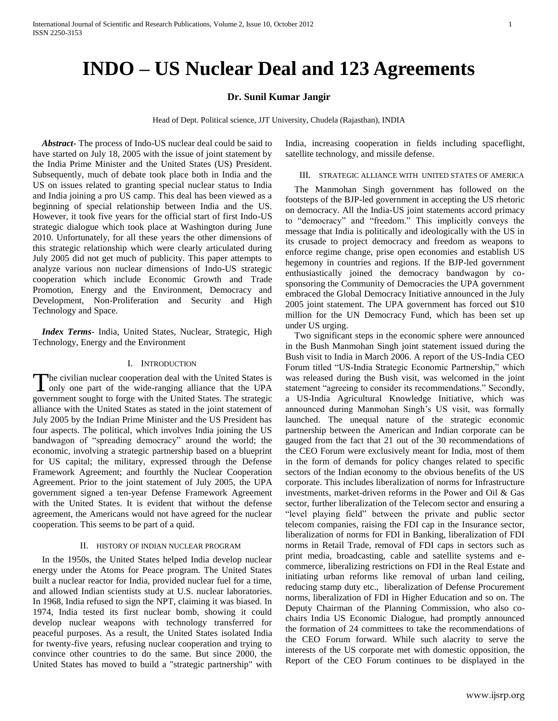# **INDO – US Nuclear Deal and 123 Agreements**

## **Dr. Sunil Kumar Jangir**

Head of Dept. Political science, JJT University, Chudela (Rajasthan), INDIA

 *Abstract***-** The process of Indo-US nuclear deal could be said to have started on July 18, 2005 with the issue of joint statement by the India Prime Minister and the United States (US) President. Subsequently, much of debate took place both in India and the US on issues related to granting special nuclear status to India and India joining a pro US camp. This deal has been viewed as a beginning of special relationship between India and the US. However, it took five years for the official start of first Indo-US strategic dialogue which took place at Washington during June 2010. Unfortunately, for all these years the other dimensions of this strategic relationship which were clearly articulated during July 2005 did not get much of publicity. This paper attempts to analyze various non nuclear dimensions of Indo-US strategic cooperation which include Economic Growth and Trade Promotion, Energy and the Environment, Democracy and Development, Non-Proliferation and Security and High Technology and Space.

 *Index Terms*- India, United States, Nuclear, Strategic, High Technology, Energy and the Environment

### I. INTRODUCTION

**The civilian nuclear cooperation deal with the United States is** The civilian nuclear cooperation deal with the United States is<br>only one part of the wide-ranging alliance that the UPA government sought to forge with the United States. The strategic alliance with the United States as stated in the joint statement of July 2005 by the Indian Prime Minister and the US President has four aspects. The political, which involves India joining the US bandwagon of "spreading democracy" around the world; the economic, involving a strategic partnership based on a blueprint for US capital; the military, expressed through the Defense Framework Agreement; and fourthly the Nuclear Cooperation Agreement. Prior to the joint statement of July 2005, the UPA government signed a ten-year Defense Framework Agreement with the United States. It is evident that without the defense agreement, the Americans would not have agreed for the nuclear cooperation. This seems to be part of a quid.

## II. HISTORY OF INDIAN NUCLEAR PROGRAM

 In the 1950s, the United States helped India develop nuclear energy under the Atoms for Peace program. The United States built a nuclear reactor for India, provided nuclear fuel for a time, and allowed Indian scientists study at U.S. nuclear laboratories. In 1968, India refused to sign the NPT, claiming it was biased. In 1974, India tested its first nuclear bomb, showing it could develop nuclear weapons with technology transferred for peaceful purposes. As a result, the United States isolated India for twenty-five years, refusing nuclear cooperation and trying to convince other countries to do the same. But since 2000, the United States has moved to build a "strategic partnership" with

India, increasing cooperation in fields including spaceflight, satellite technology, and missile defense.

## III. STRATEGIC ALLIANCE WITH UNITED STATES OF AMERICA

 The Manmohan Singh government has followed on the footsteps of the BJP-led government in accepting the US rhetoric on democracy. All the India-US joint statements accord primacy to "democracy" and "freedom." This implicitly conveys the message that India is politically and ideologically with the US in its crusade to project democracy and freedom as weapons to enforce regime change, prise open economies and establish US hegemony in countries and regions. If the BJP-led government enthusiastically joined the democracy bandwagon by cosponsoring the Community of Democracies the UPA government embraced the Global Democracy Initiative announced in the July 2005 joint statement. The UPA government has forced out \$10 million for the UN Democracy Fund, which has been set up under US urging.

 Two significant steps in the economic sphere were announced in the Bush Manmohan Singh joint statement issued during the Bush visit to India in March 2006. A report of the US-India CEO Forum titled "US-India Strategic Economic Partnership," which was released during the Bush visit, was welcomed in the joint statement "agreeing to consider its recommendations." Secondly, a US-India Agricultural Knowledge Initiative, which was announced during Manmohan Singh"s US visit, was formally launched. The unequal nature of the strategic economic partnership between the American and Indian corporate can be gauged from the fact that 21 out of the 30 recommendations of the CEO Forum were exclusively meant for India, most of them in the form of demands for policy changes related to specific sectors of the Indian economy to the obvious benefits of the US corporate. This includes liberalization of norms for Infrastructure investments, market-driven reforms in the Power and Oil & Gas sector, further liberalization of the Telecom sector and ensuring a "level playing field" between the private and public sector telecom companies, raising the FDI cap in the Insurance sector, liberalization of norms for FDI in Banking, liberalization of FDI norms in Retail Trade, removal of FDI caps in sectors such as print media, broadcasting, cable and satellite systems and ecommerce, liberalizing restrictions on FDI in the Real Estate and initiating urban reforms like removal of urban land ceiling, reducing stamp duty etc., liberalization of Defense Procurement norms, liberalization of FDI in Higher Education and so on. The Deputy Chairman of the Planning Commission, who also cochairs India US Economic Dialogue, had promptly announced the formation of 24 committees to take the recommendations of the CEO Forum forward. While such alacrity to serve the interests of the US corporate met with domestic opposition, the Report of the CEO Forum continues to be displayed in the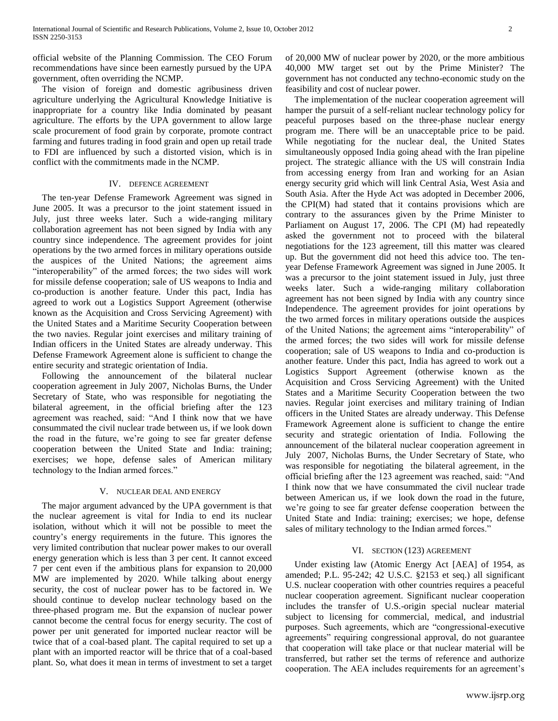official website of the Planning Commission. The CEO Forum recommendations have since been earnestly pursued by the UPA government, often overriding the NCMP.

 The vision of foreign and domestic agribusiness driven agriculture underlying the Agricultural Knowledge Initiative is inappropriate for a country like India dominated by peasant agriculture. The efforts by the UPA government to allow large scale procurement of food grain by corporate, promote contract farming and futures trading in food grain and open up retail trade to FDI are influenced by such a distorted vision, which is in conflict with the commitments made in the NCMP.

## IV. DEFENCE AGREEMENT

 The ten-year Defense Framework Agreement was signed in June 2005. It was a precursor to the joint statement issued in July, just three weeks later. Such a wide-ranging military collaboration agreement has not been signed by India with any country since independence. The agreement provides for joint operations by the two armed forces in military operations outside the auspices of the United Nations; the agreement aims "interoperability" of the armed forces; the two sides will work for missile defense cooperation; sale of US weapons to India and co-production is another feature. Under this pact, India has agreed to work out a Logistics Support Agreement (otherwise known as the Acquisition and Cross Servicing Agreement) with the United States and a Maritime Security Cooperation between the two navies. Regular joint exercises and military training of Indian officers in the United States are already underway. This Defense Framework Agreement alone is sufficient to change the entire security and strategic orientation of India.

 Following the announcement of the bilateral nuclear cooperation agreement in July 2007, Nicholas Burns, the Under Secretary of State, who was responsible for negotiating the bilateral agreement, in the official briefing after the 123 agreement was reached, said: "And I think now that we have consummated the civil nuclear trade between us, if we look down the road in the future, we"re going to see far greater defense cooperation between the United State and India: training; exercises; we hope, defense sales of American military technology to the Indian armed forces."

## V. NUCLEAR DEAL AND ENERGY

 The major argument advanced by the UPA government is that the nuclear agreement is vital for India to end its nuclear isolation, without which it will not be possible to meet the country"s energy requirements in the future. This ignores the very limited contribution that nuclear power makes to our overall energy generation which is less than 3 per cent. It cannot exceed 7 per cent even if the ambitious plans for expansion to 20,000 MW are implemented by 2020. While talking about energy security, the cost of nuclear power has to be factored in. We should continue to develop nuclear technology based on the three-phased program me. But the expansion of nuclear power cannot become the central focus for energy security. The cost of power per unit generated for imported nuclear reactor will be twice that of a coal-based plant. The capital required to set up a plant with an imported reactor will be thrice that of a coal-based plant. So, what does it mean in terms of investment to set a target of 20,000 MW of nuclear power by 2020, or the more ambitious 40,000 MW target set out by the Prime Minister? The government has not conducted any techno-economic study on the feasibility and cost of nuclear power.

 The implementation of the nuclear cooperation agreement will hamper the pursuit of a self-reliant nuclear technology policy for peaceful purposes based on the three-phase nuclear energy program me. There will be an unacceptable price to be paid. While negotiating for the nuclear deal, the United States simultaneously opposed India going ahead with the Iran pipeline project. The strategic alliance with the US will constrain India from accessing energy from Iran and working for an Asian energy security grid which will link Central Asia, West Asia and South Asia. After the Hyde Act was adopted in December 2006, the CPI(M) had stated that it contains provisions which are contrary to the assurances given by the Prime Minister to Parliament on August 17, 2006. The CPI (M) had repeatedly asked the government not to proceed with the bilateral negotiations for the 123 agreement, till this matter was cleared up. But the government did not heed this advice too. The tenyear Defense Framework Agreement was signed in June 2005. It was a precursor to the joint statement issued in July, just three weeks later. Such a wide-ranging military collaboration agreement has not been signed by India with any country since Independence. The agreement provides for joint operations by the two armed forces in military operations outside the auspices of the United Nations; the agreement aims "interoperability" of the armed forces; the two sides will work for missile defense cooperation; sale of US weapons to India and co-production is another feature. Under this pact, India has agreed to work out a Logistics Support Agreement (otherwise known as the Acquisition and Cross Servicing Agreement) with the United States and a Maritime Security Cooperation between the two navies. Regular joint exercises and military training of Indian officers in the United States are already underway. This Defense Framework Agreement alone is sufficient to change the entire security and strategic orientation of India. Following the announcement of the bilateral nuclear cooperation agreement in July 2007, Nicholas Burns, the Under Secretary of State, who was responsible for negotiating the bilateral agreement, in the official briefing after the 123 agreement was reached, said: "And I think now that we have consummated the civil nuclear trade between American us, if we look down the road in the future, we"re going to see far greater defense cooperation between the United State and India: training; exercises; we hope, defense sales of military technology to the Indian armed forces."

## VI. SECTION (123) AGREEMENT

 Under existing law (Atomic Energy Act [AEA] of 1954, as amended; P.L. 95-242; 42 U.S.C. §2153 et seq.) all significant U.S. nuclear cooperation with other countries requires a peaceful nuclear cooperation agreement. Significant nuclear cooperation includes the transfer of U.S.-origin special nuclear material subject to licensing for commercial, medical, and industrial purposes. Such agreements, which are "congressional-executive agreements" requiring congressional approval, do not guarantee that cooperation will take place or that nuclear material will be transferred, but rather set the terms of reference and authorize cooperation. The AEA includes requirements for an agreement's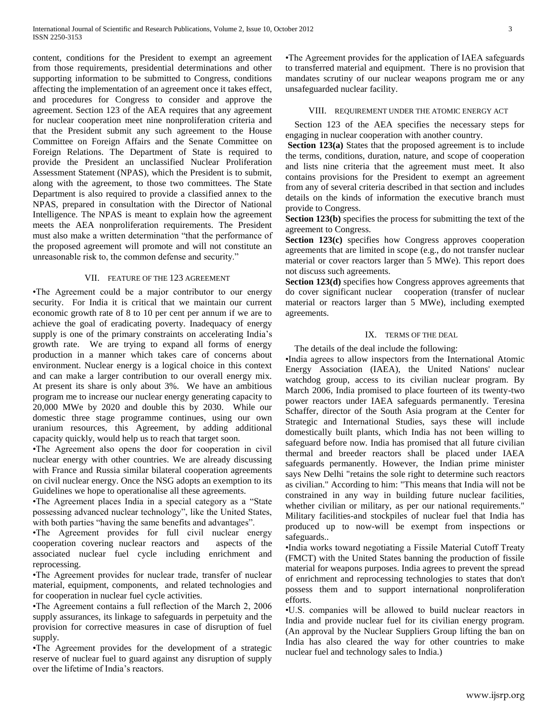content, conditions for the President to exempt an agreement from those requirements, presidential determinations and other supporting information to be submitted to Congress, conditions affecting the implementation of an agreement once it takes effect, and procedures for Congress to consider and approve the agreement. Section 123 of the AEA requires that any agreement for nuclear cooperation meet nine nonproliferation criteria and that the President submit any such agreement to the House Committee on Foreign Affairs and the Senate Committee on Foreign Relations. The Department of State is required to provide the President an unclassified Nuclear Proliferation Assessment Statement (NPAS), which the President is to submit, along with the agreement, to those two committees. The State Department is also required to provide a classified annex to the NPAS, prepared in consultation with the Director of National Intelligence. The NPAS is meant to explain how the agreement meets the AEA nonproliferation requirements. The President must also make a written determination "that the performance of the proposed agreement will promote and will not constitute an unreasonable risk to, the common defense and security."

## VII. FEATURE OF THE 123 AGREEMENT

•The Agreement could be a major contributor to our energy security. For India it is critical that we maintain our current economic growth rate of 8 to 10 per cent per annum if we are to achieve the goal of eradicating poverty. Inadequacy of energy supply is one of the primary constraints on accelerating India's growth rate. We are trying to expand all forms of energy production in a manner which takes care of concerns about environment. Nuclear energy is a logical choice in this context and can make a larger contribution to our overall energy mix. At present its share is only about 3%. We have an ambitious program me to increase our nuclear energy generating capacity to 20,000 MWe by 2020 and double this by 2030. While our domestic three stage programme continues, using our own uranium resources, this Agreement, by adding additional capacity quickly, would help us to reach that target soon.

•The Agreement also opens the door for cooperation in civil nuclear energy with other countries. We are already discussing with France and Russia similar bilateral cooperation agreements on civil nuclear energy. Once the NSG adopts an exemption to its Guidelines we hope to operationalise all these agreements.

•The Agreement places India in a special category as a "State possessing advanced nuclear technology", like the United States, with both parties "having the same benefits and advantages".

•The Agreement provides for full civil nuclear energy cooperation covering nuclear reactors and aspects of the associated nuclear fuel cycle including enrichment and reprocessing.

•The Agreement provides for nuclear trade, transfer of nuclear material, equipment, components, and related technologies and for cooperation in nuclear fuel cycle activities.

•The Agreement contains a full reflection of the March 2, 2006 supply assurances, its linkage to safeguards in perpetuity and the provision for corrective measures in case of disruption of fuel supply.

•The Agreement provides for the development of a strategic reserve of nuclear fuel to guard against any disruption of supply over the lifetime of India"s reactors.

•The Agreement provides for the application of IAEA safeguards to transferred material and equipment. There is no provision that mandates scrutiny of our nuclear weapons program me or any unsafeguarded nuclear facility.

## VIII. REQUIREMENT UNDER THE ATOMIC ENERGY ACT

 Section 123 of the AEA specifies the necessary steps for engaging in nuclear cooperation with another country.

**Section 123(a)** States that the proposed agreement is to include the terms, conditions, duration, nature, and scope of cooperation and lists nine criteria that the agreement must meet. It also contains provisions for the President to exempt an agreement from any of several criteria described in that section and includes details on the kinds of information the executive branch must provide to Congress.

**Section 123(b)** specifies the process for submitting the text of the agreement to Congress.

**Section 123(c)** specifies how Congress approves cooperation agreements that are limited in scope (e.g., do not transfer nuclear material or cover reactors larger than 5 MWe). This report does not discuss such agreements.

**Section 123(d)** specifies how Congress approves agreements that do cover significant nuclear cooperation (transfer of nuclear material or reactors larger than 5 MWe), including exempted agreements.

## IX. TERMS OF THE DEAL

The details of the deal include the following:

•India agrees to allow inspectors from the International Atomic Energy Association (IAEA), the United Nations' nuclear watchdog group, access to its civilian nuclear program. By March 2006, India promised to place fourteen of its twenty-two power reactors under IAEA safeguards permanently. Teresina Schaffer, director of the South Asia program at the Center for Strategic and International Studies, says these will include domestically built plants, which India has not been willing to safeguard before now. India has promised that all future civilian thermal and breeder reactors shall be placed under IAEA safeguards permanently. However, the Indian prime minister says New Delhi "retains the sole right to determine such reactors as civilian." According to him: "This means that India will not be constrained in any way in building future nuclear facilities, whether civilian or military, as per our national requirements." Military facilities-and stockpiles of nuclear fuel that India has produced up to now-will be exempt from inspections or safeguards..

•India works toward negotiating a Fissile Material Cutoff Treaty (FMCT) with the United States banning the production of fissile material for weapons purposes. India agrees to prevent the spread of enrichment and reprocessing technologies to states that don't possess them and to support international nonproliferation efforts.

•U.S. companies will be allowed to build nuclear reactors in India and provide nuclear fuel for its civilian energy program. (An approval by the Nuclear Suppliers Group lifting the ban on India has also cleared the way for other countries to make nuclear fuel and technology sales to India.)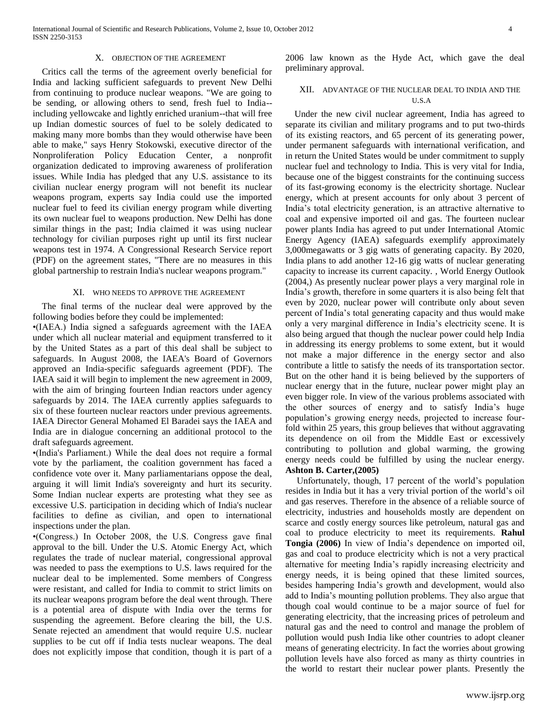International Journal of Scientific and Research Publications, Volume 2, Issue 10, October 2012 4 ISSN 2250-3153

## X. OBJECTION OF THE AGREEMENT

 Critics call the terms of the agreement overly beneficial for India and lacking sufficient safeguards to prevent New Delhi from continuing to produce nuclear weapons. "We are going to be sending, or allowing others to send, fresh fuel to India- including yellowcake and lightly enriched uranium--that will free up Indian domestic sources of fuel to be solely dedicated to making many more bombs than they would otherwise have been able to make," says Henry Stokowski, executive director of the Nonproliferation Policy Education Center, a nonprofit organization dedicated to improving awareness of proliferation issues. While India has pledged that any U.S. assistance to its civilian nuclear energy program will not benefit its nuclear weapons program, experts say India could use the imported nuclear fuel to feed its civilian energy program while diverting its own nuclear fuel to weapons production. New Delhi has done similar things in the past; India claimed it was using nuclear technology for civilian purposes right up until its first nuclear weapons test in 1974. A Congressional Research Service report (PDF) on the agreement states, "There are no measures in this global partnership to restrain India's nuclear weapons program."

#### XI. WHO NEEDS TO APPROVE THE AGREEMENT

 The final terms of the nuclear deal were approved by the following bodies before they could be implemented:

•(IAEA.) India signed a safeguards agreement with the IAEA under which all nuclear material and equipment transferred to it by the United States as a part of this deal shall be subject to safeguards. In August 2008, the IAEA's Board of Governors approved an India-specific safeguards agreement (PDF). The IAEA said it will begin to implement the new agreement in 2009, with the aim of bringing fourteen Indian reactors under agency safeguards by 2014. The IAEA currently applies safeguards to six of these fourteen nuclear reactors under previous agreements. IAEA Director General Mohamed El Baradei says the IAEA and India are in dialogue concerning an additional protocol to the draft safeguards agreement.

•(India's Parliament.) While the deal does not require a formal vote by the parliament, the coalition government has faced a confidence vote over it. Many parliamentarians oppose the deal, arguing it will limit India's sovereignty and hurt its security. Some Indian nuclear experts are protesting what they see as excessive U.S. participation in deciding which of India's nuclear facilities to define as civilian, and open to international inspections under the plan.

•(Congress.) In October 2008, the U.S. Congress gave final approval to the bill. Under the U.S. Atomic Energy Act, which regulates the trade of nuclear material, congressional approval was needed to pass the exemptions to U.S. laws required for the nuclear deal to be implemented. Some members of Congress were resistant, and called for India to commit to strict limits on its nuclear weapons program before the deal went through. There is a potential area of dispute with India over the terms for suspending the agreement. Before clearing the bill, the U.S. Senate rejected an amendment that would require U.S. nuclear supplies to be cut off if India tests nuclear weapons. The deal does not explicitly impose that condition, though it is part of a 2006 law known as the Hyde Act, which gave the deal preliminary approval.

# XII. ADVANTAGE OF THE NUCLEAR DEAL TO INDIA AND THE U.S.A

 Under the new civil nuclear agreement, India has agreed to separate its civilian and military programs and to put two-thirds of its existing reactors, and 65 percent of its generating power, under permanent safeguards with international verification, and in return the United States would be under commitment to supply nuclear fuel and technology to India. This is very vital for India, because one of the biggest constraints for the continuing success of its fast-growing economy is the electricity shortage. Nuclear energy, which at present accounts for only about 3 percent of India"s total electricity generation, is an attractive alternative to coal and expensive imported oil and gas. The fourteen nuclear power plants India has agreed to put under International Atomic Energy Agency (IAEA) safeguards exemplify approximately 3,000megawatts or 3 gig watts of generating capacity. By 2020, India plans to add another 12-16 gig watts of nuclear generating capacity to increase its current capacity. , World Energy Outlook (2004,) As presently nuclear power plays a very marginal role in India"s growth, therefore in some quarters it is also being felt that even by 2020, nuclear power will contribute only about seven percent of India"s total generating capacity and thus would make only a very marginal difference in India"s electricity scene. It is also being argued that though the nuclear power could help India in addressing its energy problems to some extent, but it would not make a major difference in the energy sector and also contribute a little to satisfy the needs of its transportation sector. But on the other hand it is being believed by the supporters of nuclear energy that in the future, nuclear power might play an even bigger role. In view of the various problems associated with the other sources of energy and to satisfy India"s huge population"s growing energy needs, projected to increase fourfold within 25 years, this group believes that without aggravating its dependence on oil from the Middle East or excessively contributing to pollution and global warming, the growing energy needs could be fulfilled by using the nuclear energy. **Ashton B. Carter,(2005)**

 Unfortunately, though, 17 percent of the world"s population resides in India but it has a very trivial portion of the world"s oil and gas reserves. Therefore in the absence of a reliable source of electricity, industries and households mostly are dependent on scarce and costly energy sources like petroleum, natural gas and coal to produce electricity to meet its requirements. **Rahul Tongia (2006)** In view of India"s dependence on imported oil, gas and coal to produce electricity which is not a very practical alternative for meeting India"s rapidly increasing electricity and energy needs, it is being opined that these limited sources, besides hampering India"s growth and development, would also add to India"s mounting pollution problems. They also argue that though coal would continue to be a major source of fuel for generating electricity, that the increasing prices of petroleum and natural gas and the need to control and manage the problem of pollution would push India like other countries to adopt cleaner means of generating electricity. In fact the worries about growing pollution levels have also forced as many as thirty countries in the world to restart their nuclear power plants. Presently the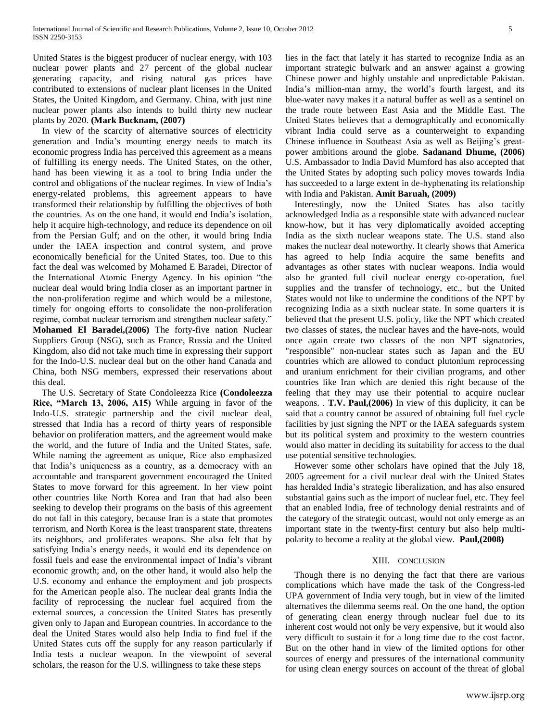United States is the biggest producer of nuclear energy, with 103 nuclear power plants and 27 percent of the global nuclear generating capacity, and rising natural gas prices have contributed to extensions of nuclear plant licenses in the United States, the United Kingdom, and Germany. China, with just nine nuclear power plants also intends to build thirty new nuclear plants by 2020. **(Mark Bucknam, (2007)** 

 In view of the scarcity of alternative sources of electricity generation and India"s mounting energy needs to match its economic progress India has perceived this agreement as a means of fulfilling its energy needs. The United States, on the other, hand has been viewing it as a tool to bring India under the control and obligations of the nuclear regimes. In view of India"s energy-related problems, this agreement appears to have transformed their relationship by fulfilling the objectives of both the countries. As on the one hand, it would end India"s isolation, help it acquire high-technology, and reduce its dependence on oil from the Persian Gulf; and on the other, it would bring India under the IAEA inspection and control system, and prove economically beneficial for the United States, too. Due to this fact the deal was welcomed by Mohamed E Baradei, Director of the International Atomic Energy Agency. In his opinion "the nuclear deal would bring India closer as an important partner in the non-proliferation regime and which would be a milestone, timely for ongoing efforts to consolidate the non-proliferation regime, combat nuclear terrorism and strengthen nuclear safety." **Mohamed El Baradei,(2006)** The forty-five nation Nuclear Suppliers Group (NSG), such as France, Russia and the United Kingdom, also did not take much time in expressing their support for the Indo-U.S. nuclear deal but on the other hand Canada and China, both NSG members, expressed their reservations about this deal.

 The U.S. Secretary of State Condoleezza Rice **(Condoleezza Rice, "March 13, 2006, A15)** While arguing in favor of the Indo-U.S. strategic partnership and the civil nuclear deal, stressed that India has a record of thirty years of responsible behavior on proliferation matters, and the agreement would make the world, and the future of India and the United States, safe. While naming the agreement as unique, Rice also emphasized that India"s uniqueness as a country, as a democracy with an accountable and transparent government encouraged the United States to move forward for this agreement. In her view point other countries like North Korea and Iran that had also been seeking to develop their programs on the basis of this agreement do not fall in this category, because Iran is a state that promotes terrorism, and North Korea is the least transparent state, threatens its neighbors, and proliferates weapons. She also felt that by satisfying India"s energy needs, it would end its dependence on fossil fuels and ease the environmental impact of India"s vibrant economic growth; and, on the other hand, it would also help the U.S. economy and enhance the employment and job prospects for the American people also. The nuclear deal grants India the facility of reprocessing the nuclear fuel acquired from the external sources, a concession the United States has presently given only to Japan and European countries. In accordance to the deal the United States would also help India to find fuel if the United States cuts off the supply for any reason particularly if India tests a nuclear weapon. In the viewpoint of several scholars, the reason for the U.S. willingness to take these steps

lies in the fact that lately it has started to recognize India as an important strategic bulwark and an answer against a growing Chinese power and highly unstable and unpredictable Pakistan. India"s million-man army, the world"s fourth largest, and its blue-water navy makes it a natural buffer as well as a sentinel on the trade route between East Asia and the Middle East. The United States believes that a demographically and economically vibrant India could serve as a counterweight to expanding Chinese influence in Southeast Asia as well as Beijing"s greatpower ambitions around the globe. **Sadanand Dhume, (2006)** U.S. Ambassador to India David Mumford has also accepted that the United States by adopting such policy moves towards India has succeeded to a large extent in de-hyphenating its relationship with India and Pakistan. **Amit Baruah, (2009)**

 Interestingly, now the United States has also tacitly acknowledged India as a responsible state with advanced nuclear know-how, but it has very diplomatically avoided accepting India as the sixth nuclear weapons state. The U.S. stand also makes the nuclear deal noteworthy. It clearly shows that America has agreed to help India acquire the same benefits and advantages as other states with nuclear weapons. India would also be granted full civil nuclear energy co-operation, fuel supplies and the transfer of technology, etc., but the United States would not like to undermine the conditions of the NPT by recognizing India as a sixth nuclear state. In some quarters it is believed that the present U.S. policy, like the NPT which created two classes of states, the nuclear haves and the have-nots, would once again create two classes of the non NPT signatories, "responsible" non-nuclear states such as Japan and the EU countries which are allowed to conduct plutonium reprocessing and uranium enrichment for their civilian programs, and other countries like Iran which are denied this right because of the feeling that they may use their potential to acquire nuclear weapons. . **T.V. Paul,(2006)** In view of this duplicity, it can be said that a country cannot be assured of obtaining full fuel cycle facilities by just signing the NPT or the IAEA safeguards system but its political system and proximity to the western countries would also matter in deciding its suitability for access to the dual use potential sensitive technologies.

 However some other scholars have opined that the July 18, 2005 agreement for a civil nuclear deal with the United States has heralded India"s strategic liberalization, and has also ensured substantial gains such as the import of nuclear fuel, etc. They feel that an enabled India, free of technology denial restraints and of the category of the strategic outcast, would not only emerge as an important state in the twenty-first century but also help multipolarity to become a reality at the global view. **Paul,(2008)**

## XIII. CONCLUSION

 Though there is no denying the fact that there are various complications which have made the task of the Congress-led UPA government of India very tough, but in view of the limited alternatives the dilemma seems real. On the one hand, the option of generating clean energy through nuclear fuel due to its inherent cost would not only be very expensive, but it would also very difficult to sustain it for a long time due to the cost factor. But on the other hand in view of the limited options for other sources of energy and pressures of the international community for using clean energy sources on account of the threat of global